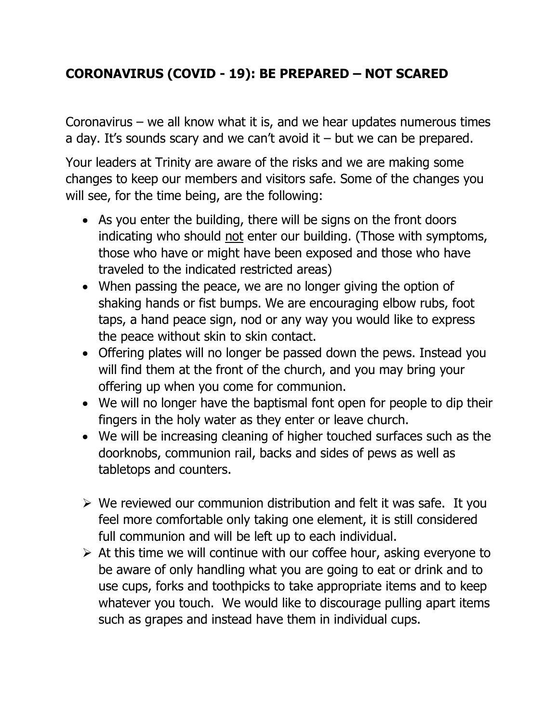## **CORONAVIRUS (COVID - 19): BE PREPARED – NOT SCARED**

Coronavirus – we all know what it is, and we hear updates numerous times a day. It's sounds scary and we can't avoid it  $-$  but we can be prepared.

Your leaders at Trinity are aware of the risks and we are making some changes to keep our members and visitors safe. Some of the changes you will see, for the time being, are the following:

- As you enter the building, there will be signs on the front doors indicating who should not enter our building. (Those with symptoms, those who have or might have been exposed and those who have traveled to the indicated restricted areas)
- When passing the peace, we are no longer giving the option of shaking hands or fist bumps. We are encouraging elbow rubs, foot taps, a hand peace sign, nod or any way you would like to express the peace without skin to skin contact.
- Offering plates will no longer be passed down the pews. Instead you will find them at the front of the church, and you may bring your offering up when you come for communion.
- We will no longer have the baptismal font open for people to dip their fingers in the holy water as they enter or leave church.
- We will be increasing cleaning of higher touched surfaces such as the doorknobs, communion rail, backs and sides of pews as well as tabletops and counters.
- $\triangleright$  We reviewed our communion distribution and felt it was safe. It you feel more comfortable only taking one element, it is still considered full communion and will be left up to each individual.
- $\triangleright$  At this time we will continue with our coffee hour, asking everyone to be aware of only handling what you are going to eat or drink and to use cups, forks and toothpicks to take appropriate items and to keep whatever you touch. We would like to discourage pulling apart items such as grapes and instead have them in individual cups.